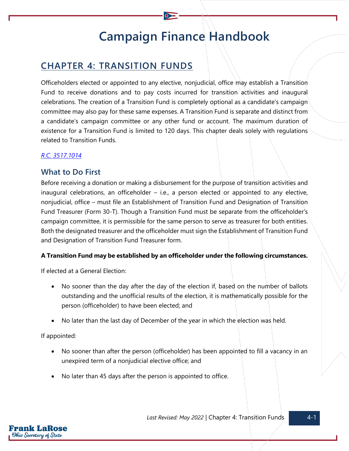# **Campaign Finance Handbook**

## **CHAPTER 4: TRANSITION FUNDS**

Officeholders elected or appointed to any elective, nonjudicial, office may establish a Transition Fund to receive donations and to pay costs incurred for transition activities and inaugural celebrations. The creation of a Transition Fund is completely optional as a candidate's campaign committee may also pay for these same expenses. A Transition Fund is separate and distinct from a candidate's campaign committee or any other fund or account. The maximum duration of existence for a Transition Fund is limited to 120 days. This chapter deals solely with regulations related to Transition Funds.

#### *[R.C. 3517.1014](https://codes.ohio.gov/ohio-revised-code/section-3517.1014)*

## **What to Do First**

Before receiving a donation or making a disbursement for the purpose of transition activities and inaugural celebrations, an officeholder  $-$  i.e., a person elected or appointed to any elective, nonjudicial, office – must file an Establishment of Transition Fund and Designation of Transition Fund Treasurer (Form 30-T). Though a Transition Fund must be separate from the officeholder's campaign committee, it is permissible for the same person to serve as treasurer for both entities. Both the designated treasurer and the officeholder must sign the Establishment of Transition Fund and Designation of Transition Fund Treasurer form.

#### **A Transition Fund may be established by an officeholder under the following circumstances.**

If elected at a General Election:

- No sooner than the day after the day of the election if, based on the number of ballots outstanding and the unofficial results of the election, it is mathematically possible for the person (officeholder) to have been elected; and
- No later than the last day of December of the year in which the election was held.

If appointed:

- No sooner than after the person (officeholder) has been appointed to fill a vacancy in an unexpired term of a nonjudicial elective office; and
- No later than 45 days after the person is appointed to office.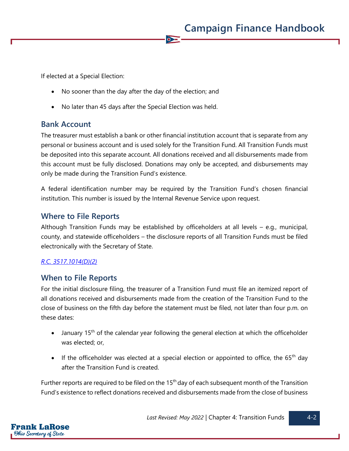If elected at a Special Election:

- No sooner than the day after the day of the election; and
- No later than 45 days after the Special Election was held.

#### **Bank Account**

The treasurer must establish a bank or other financial institution account that is separate from any personal or business account and is used solely for the Transition Fund. All Transition Funds must be deposited into this separate account. All donations received and all disbursements made from this account must be fully disclosed. Donations may only be accepted, and disbursements may only be made during the Transition Fund's existence.

 $\bullet$ 

A federal identification number may be required by the Transition Fund's chosen financial institution. This number is issued by the Internal Revenue Service upon request.

### **Where to File Reports**

Although Transition Funds may be established by officeholders at all levels – e.g., municipal, county, and statewide officeholders – the disclosure reports of all Transition Funds must be filed electronically with the Secretary of State.

#### *[R.C. 3517.1014\(D\)\(2\)](https://codes.ohio.gov/ohio-revised-code/section-3517.1014)*

#### **When to File Reports**

For the initial disclosure filing, the treasurer of a Transition Fund must file an itemized report of all donations received and disbursements made from the creation of the Transition Fund to the close of business on the fifth day before the statement must be filed, not later than four p.m. on these dates:

- January  $15<sup>th</sup>$  of the calendar year following the general election at which the officeholder was elected; or,
- If the officeholder was elected at a special election or appointed to office, the 65<sup>th</sup> day after the Transition Fund is created.

Further reports are required to be filed on the  $15<sup>th</sup>$  day of each subsequent month of the Transition Fund's existence to reflect donations received and disbursements made from the close of business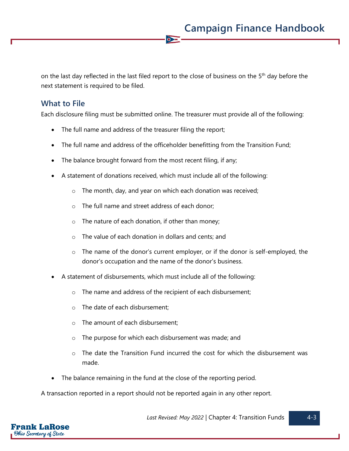on the last day reflected in the last filed report to the close of business on the 5<sup>th</sup> day before the next statement is required to be filed.

 $\overline{\bullet}$ 

## **What to File**

Each disclosure filing must be submitted online. The treasurer must provide all of the following:

- The full name and address of the treasurer filing the report;
- The full name and address of the officeholder benefitting from the Transition Fund;
- The balance brought forward from the most recent filing, if any;
- A statement of donations received, which must include all of the following:
	- o The month, day, and year on which each donation was received;
	- o The full name and street address of each donor;
	- $\circ$  The nature of each donation, if other than money;
	- o The value of each donation in dollars and cents; and
	- o The name of the donor's current employer, or if the donor is self-employed, the donor's occupation and the name of the donor's business.
- A statement of disbursements, which must include all of the following:
	- o The name and address of the recipient of each disbursement;
	- o The date of each disbursement;
	- o The amount of each disbursement;
	- o The purpose for which each disbursement was made; and
	- $\circ$  The date the Transition Fund incurred the cost for which the disbursement was made.
- The balance remaining in the fund at the close of the reporting period.

A transaction reported in a report should not be reported again in any other report.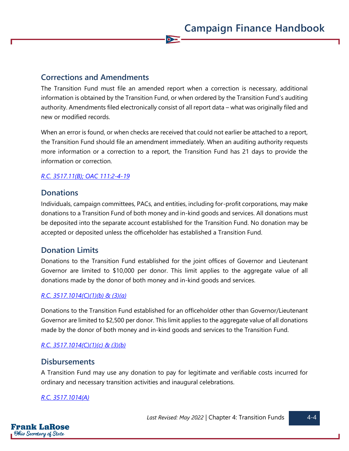## **Corrections and Amendments**

The Transition Fund must file an amended report when a correction is necessary, additional information is obtained by the Transition Fund, or when ordered by the Transition Fund's auditing authority. Amendments filed electronically consist of all report data – what was originally filed and new or modified records.

 $\bullet$ 

When an error is found, or when checks are received that could not earlier be attached to a report, the Transition Fund should file an amendment immediately. When an auditing authority requests more information or a correction to a report, the Transition Fund has 21 days to provide the information or correction.

#### *[R.C. 3517.11\(B\);](https://codes.ohio.gov/ohio-revised-code/section-3517.11) [OAC 111:2-4-19](https://codes.ohio.gov/ohio-administrative-code/rule-111:2-4-19)*

## **Donations**

Individuals, campaign committees, PACs, and entities, including for-profit corporations, may make donations to a Transition Fund of both money and in-kind goods and services. All donations must be deposited into the separate account established for the Transition Fund. No donation may be accepted or deposited unless the officeholder has established a Transition Fund.

## **Donation Limits**

Donations to the Transition Fund established for the joint offices of Governor and Lieutenant Governor are limited to \$10,000 per donor. This limit applies to the aggregate value of all donations made by the donor of both money and in-kind goods and services.

#### *[R.C. 3517.1014\(C\)\(1\)\(b\) & \(3\)\(a\)](https://codes.ohio.gov/ohio-revised-code/section-3517.1014)*

Donations to the Transition Fund established for an officeholder other than Governor/Lieutenant Governor are limited to \$2,500 per donor. This limit applies to the aggregate value of all donations made by the donor of both money and in-kind goods and services to the Transition Fund.

#### *[R.C. 3517.1014\(C\)\(1\)\(c\) & \(3\)\(b\)](https://codes.ohio.gov/ohio-revised-code/section-3517.1014)*

#### **Disbursements**

A Transition Fund may use any donation to pay for legitimate and verifiable costs incurred for ordinary and necessary transition activities and inaugural celebrations.

#### *[R.C. 3517.1014\(A\)](https://codes.ohio.gov/ohio-revised-code/section-3517.1014)*

Last Revised: May 2022 | Chapter 4: Transition Funds |  $\sim$  4-4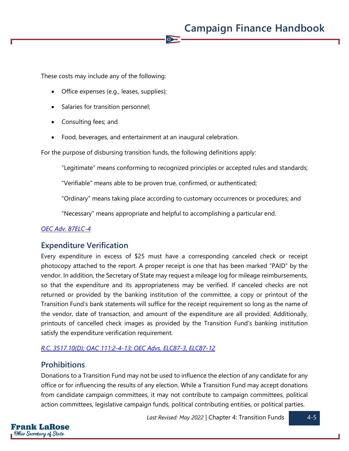These costs may include any of the following:

- Office expenses (e.g., leases, supplies);
- Salaries for transition personnel;
- Consulting fees; and
- Food, beverages, and entertainment at an inaugural celebration.

For the purpose of disbursing transition funds, the following definitions apply:

"Legitimate" means conforming to recognized principles or accepted rules and standards;

"Verifiable" means able to be proven true, confirmed, or authenticated;

"Ordinary" means taking place according to customary occurrences or procedures; and

"Necessary" means appropriate and helpful to accomplishing a particular end.

 $\sum$ 

#### *[OEC Adv. 87ELC-4](https://elc.ohio.gov/wps/portal/gov/elc/opinions-decisions/advisory-opinions/by-year/87-4)*

## **Expenditure Verification**

Every expenditure in excess of \$25 must have a corresponding canceled check or receipt photocopy attached to the report. A proper receipt is one that has been marked "PAID" by the vendor. In addition, the Secretary of State may request a mileage log for mileage reimbursements, so that the expenditure and its appropriateness may be verified. If canceled checks are not returned or provided by the banking institution of the committee, a copy or printout of the Transition Fund's bank statements will suffice for the receipt requirement so long as the name of the vendor, date of transaction, and amount of the expenditure are all provided. Additionally, printouts of cancelled check images as provided by the Transition Fund's banking institution satisfy the expenditure verification requirement.

#### *[R.C. 3517.10\(D\);](https://codes.ohio.gov/ohio-revised-code/section-3517.10) [OAC 111:2-4-13;](https://codes.ohio.gov/ohio-administrative-code/rule-111:2-4-13) [OEC Advs. ELC87-3,](https://elc.ohio.gov/wps/portal/gov/elc/opinions-decisions/advisory-opinions/by-year/87-3) [ELC87-12](https://elc.ohio.gov/wps/portal/gov/elc/opinions-decisions/advisory-opinions/by-year/87-12)*

#### **Prohibitions**

Donations to a Transition Fund may not be used to influence the election of any candidate for any office or for influencing the results of any election. While a Transition Fund may accept donations from candidate campaign committees, it may not contribute to campaign committees, political action committees, legislative campaign funds, political contributing entities, or political parties.

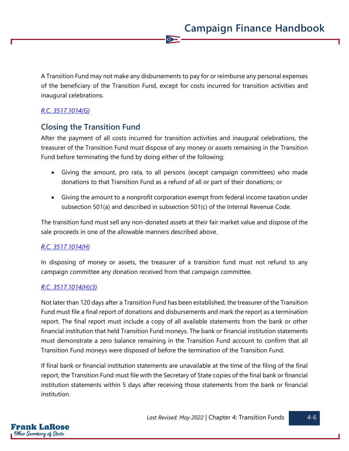A Transition Fund may not make any disbursements to pay for or reimburse any personal expenses of the beneficiary of the Transition Fund, except for costs incurred for transition activities and inaugural celebrations.

 $\overline{\bullet}$ 

#### *[R.C. 3517.1014\(G\)](https://codes.ohio.gov/ohio-revised-code/section-3517.1014)*

## **Closing the Transition Fund**

After the payment of all costs incurred for transition activities and inaugural celebrations, the treasurer of the Transition Fund must dispose of any money or assets remaining in the Transition Fund before terminating the fund by doing either of the following:

- Giving the amount, pro rata, to all persons (except campaign committees) who made donations to that Transition Fund as a refund of all or part of their donations; or
- Giving the amount to a nonprofit corporation exempt from federal income taxation under subsection 501(a) and described in subsection 501(c) of the Internal Revenue Code.

The transition fund must sell any non-donated assets at their fair market value and dispose of the sale proceeds in one of the allowable manners described above.

#### *[R.C. 3517.1014\(H\)](https://codes.ohio.gov/ohio-revised-code/section-3517.1014)*

In disposing of money or assets, the treasurer of a transition fund must not refund to any campaign committee any donation received from that campaign committee.

#### *[R.C. 3517.1014\(H\)\(](https://codes.ohio.gov/ohio-revised-code/section-3517.1014)3)*

Not later than 120 days after a Transition Fund has been established, the treasurer of the Transition Fund must file a final report of donations and disbursements and mark the report as a termination report. The final report must include a copy of all available statements from the bank or other financial institution that held Transition Fund moneys. The bank or financial institution statements must demonstrate a zero balance remaining in the Transition Fund account to confirm that all Transition Fund moneys were disposed of before the termination of the Transition Fund.

If final bank or financial institution statements are unavailable at the time of the filing of the final report, the Transition Fund must file with the Secretary of State copies of the final bank or financial institution statements within 5 days after receiving those statements from the bank or financial institution.